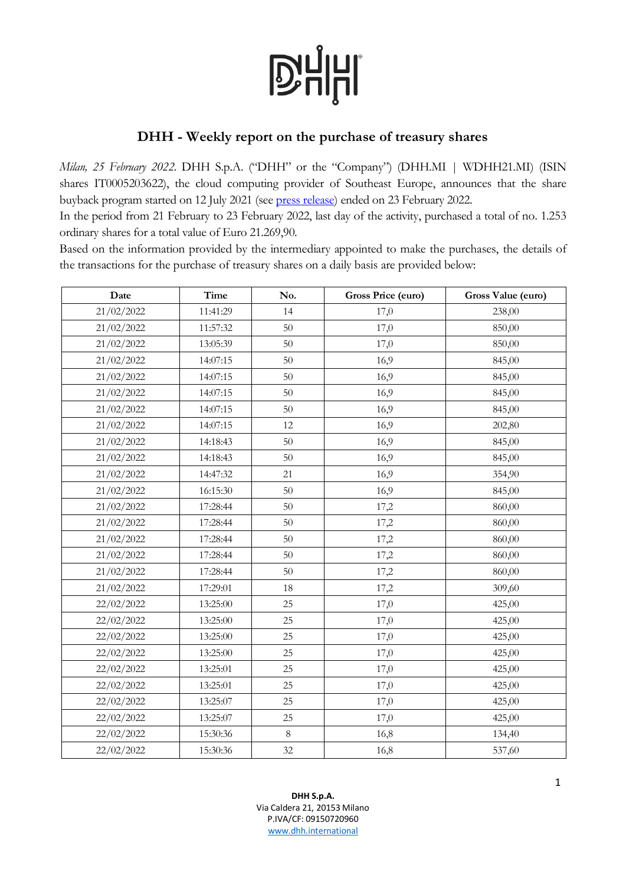# **D'HHI**

## **DHH - Weekly report on the purchase of treasury shares**

*Milan, 25 February 2022*. DHH S.p.A. ("DHH" or the "Company") (DHH.MI | WDHH21.MI) (ISIN shares IT0005203622), the cloud computing provider of Southeast Europe, announces that the share buyback program started on 12 July 2021 (see [press release\)](https://www.dhh.international/dhh-announces-the-beginning-of-a-share-buyback-program/) ended on 23 February 2022.

In the period from 21 February to 23 February 2022, last day of the activity, purchased a total of no. 1.253 ordinary shares for a total value of Euro 21.269,90.

Based on the information provided by the intermediary appointed to make the purchases, the details of the transactions for the purchase of treasury shares on a daily basis are provided below:

| Date       | Time     | No.     | Gross Price (euro) | Gross Value (euro) |
|------------|----------|---------|--------------------|--------------------|
| 21/02/2022 | 11:41:29 | 14      | 17,0               | 238,00             |
| 21/02/2022 | 11:57:32 | 50      | 17,0               | 850,00             |
| 21/02/2022 | 13:05:39 | 50      | 17,0               | 850,00             |
| 21/02/2022 | 14:07:15 | 50      | 16,9               | 845,00             |
| 21/02/2022 | 14:07:15 | 50      | 16,9               | 845,00             |
| 21/02/2022 | 14:07:15 | 50      | 16,9               | 845,00             |
| 21/02/2022 | 14:07:15 | 50      | 16,9               | 845,00             |
| 21/02/2022 | 14:07:15 | 12      | 16,9               | 202,80             |
| 21/02/2022 | 14:18:43 | 50      | 16,9               | 845,00             |
| 21/02/2022 | 14:18:43 | 50      | 16,9               | 845,00             |
| 21/02/2022 | 14:47:32 | 21      | 16,9               | 354,90             |
| 21/02/2022 | 16:15:30 | 50      | 16,9               | 845,00             |
| 21/02/2022 | 17:28:44 | 50      | 17,2               | 860,00             |
| 21/02/2022 | 17:28:44 | $50\,$  | 17,2               | 860,00             |
| 21/02/2022 | 17:28:44 | $50\,$  | 17,2               | 860,00             |
| 21/02/2022 | 17:28:44 | 50      | 17,2               | 860,00             |
| 21/02/2022 | 17:28:44 | 50      | 17,2               | 860,00             |
| 21/02/2022 | 17:29:01 | 18      | 17,2               | 309,60             |
| 22/02/2022 | 13:25:00 | 25      | 17,0               | 425,00             |
| 22/02/2022 | 13:25:00 | 25      | 17,0               | 425,00             |
| 22/02/2022 | 13:25:00 | 25      | 17,0               | 425,00             |
| 22/02/2022 | 13:25:00 | 25      | 17,0               | 425,00             |
| 22/02/2022 | 13:25:01 | 25      | 17,0               | 425,00             |
| 22/02/2022 | 13:25:01 | 25      | 17,0               | 425,00             |
| 22/02/2022 | 13:25:07 | 25      | 17,0               | 425,00             |
| 22/02/2022 | 13:25:07 | 25      | 17,0               | 425,00             |
| 22/02/2022 | 15:30:36 | $\,8\,$ | 16,8               | 134,40             |
| 22/02/2022 | 15:30:36 | 32      | 16,8               | 537,60             |